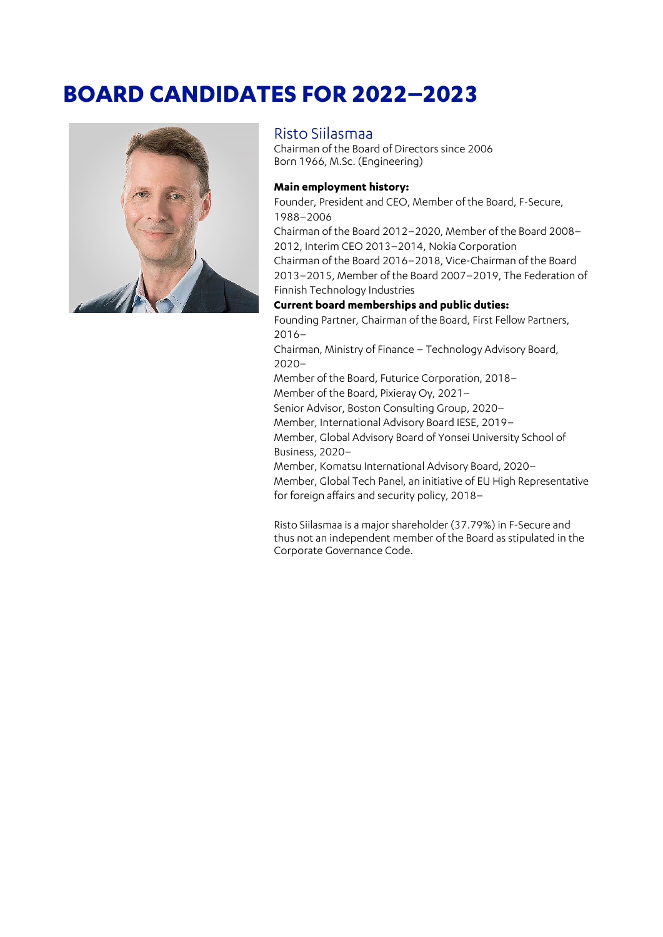# **BOARD CANDIDATES FOR 2022–2023**



### Risto Siilasmaa

Chairman of the Board of Directors since 2006 Born 1966, M.Sc. (Engineering)

#### **Main employment history:**

Founder, President and CEO, Member of the Board, F‑Secure, 1988–2006

Chairman of the Board 2012–2020, Member of the Board 2008– 2012, Interim CEO 2013–2014, Nokia Corporation Chairman of the Board 2016–2018, Vice-Chairman of the Board

2013–2015, Member of the Board 2007–2019, The Federation of Finnish Technology Industries

#### **Current board memberships and public duties:**

Founding Partner, Chairman of the Board, First Fellow Partners, 2016–

Chairman, Ministry of Finance – Technology Advisory Board, 2020–

Member of the Board, Futurice Corporation, 2018–

Member of the Board, Pixieray Oy, 2021–

Senior Advisor, Boston Consulting Group, 2020–

Member, International Advisory Board IESE, 2019–

Member, Global Advisory Board of Yonsei University School of Business, 2020–

Member, Komatsu International Advisory Board, 2020– Member, Global Tech Panel, an initiative of EU High Representative for foreign affairs and security policy, 2018–

Risto Siilasmaa is a major shareholder (37.79%) in F-Secure and thus not an independent member of the Board as stipulated in the Corporate Governance Code.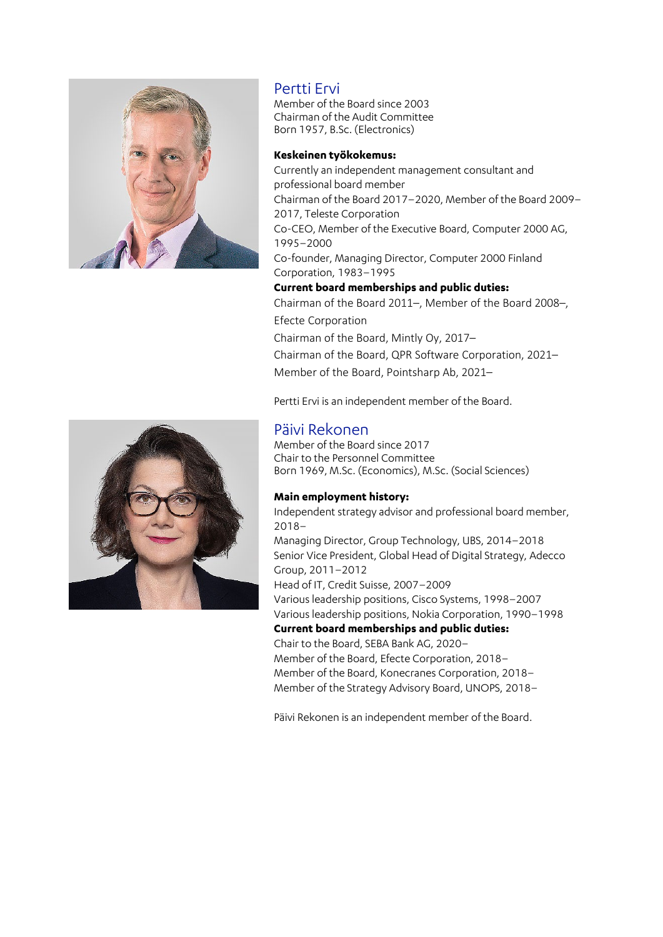

## Pertti Ervi

Member of the Board since 2003 Chairman of the Audit Committee Born 1957, B.Sc. (Electronics)

#### **Keskeinen työkokemus:**

Currently an independent management consultant and professional board member Chairman of the Board 2017–2020, Member of the Board 2009– 2017, Teleste Corporation Co-CEO, Member of the Executive Board, Computer 2000 AG, 1995–2000 Co-founder, Managing Director, Computer 2000 Finland Corporation, 1983–1995 **Current board memberships and public duties:** Chairman of the Board 2011–, Member of the Board 2008–, Efecte Corporation Chairman of the Board, Mintly Oy, 2017– Chairman of the Board, QPR Software Corporation, 2021– Member of the Board, Pointsharp Ab, 2021–

Pertti Ervi is an independent member of the Board.

### Päivi Rekonen

Member of the Board since 2017 Chair to the Personnel Committee Born 1969, M.Sc. (Economics), M.Sc. (Social Sciences)

#### **Main employment history:**

Independent strategy advisor and professional board member, 2018– Managing Director, Group Technology, UBS, 2014–2018 Senior Vice President, Global Head of Digital Strategy, Adecco Group, 2011–2012 Head of IT, Credit Suisse, 2007–2009 Various leadership positions, Cisco Systems, 1998–2007 Various leadership positions, Nokia Corporation, 1990–1998 **Current board memberships and public duties:** Chair to the Board, SEBA Bank AG, 2020– Member of the Board, Efecte Corporation, 2018–

Member of the Board, Konecranes Corporation, 2018– Member of the Strategy Advisory Board, UNOPS, 2018–

Päivi Rekonen is an independent member of the Board.

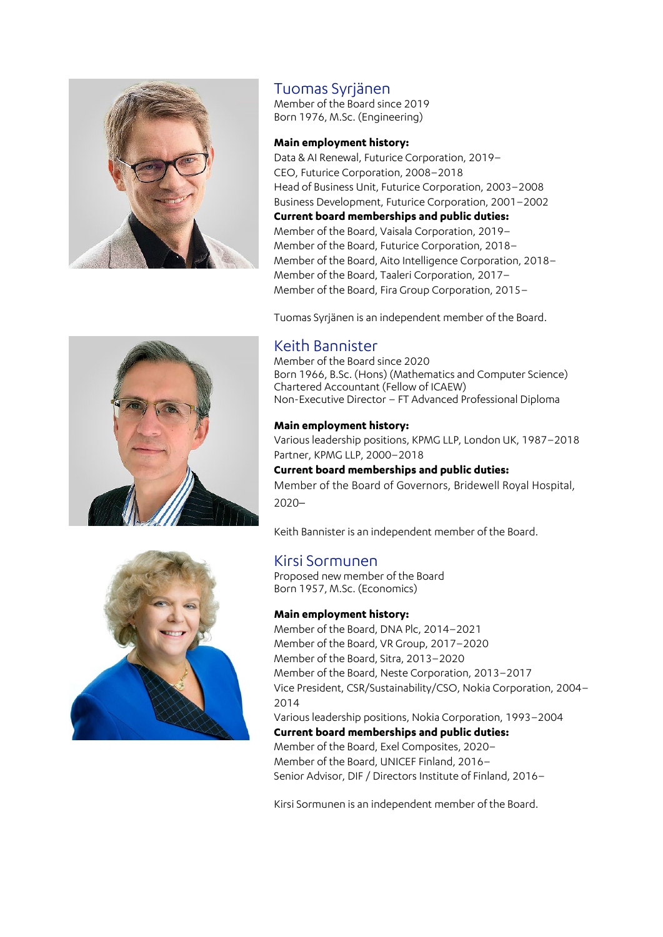

# Tuomas Syrjänen

Member of the Board since 2019 Born 1976, M.Sc. (Engineering)

#### **Main employment history:**

Data & AI Renewal, Futurice Corporation, 2019– CEO, Futurice Corporation, 2008–2018 Head of Business Unit, Futurice Corporation, 2003–2008 Business Development, Futurice Corporation, 2001–2002 **Current board memberships and public duties:** Member of the Board, Vaisala Corporation, 2019– Member of the Board, Futurice Corporation, 2018– Member of the Board, Aito Intelligence Corporation, 2018– Member of the Board, Taaleri Corporation, 2017– Member of the Board, Fira Group Corporation, 2015–

Tuomas Syrjänen is an independent member of the Board.



# Keith Bannister

Member of the Board since 2020 Born 1966, B.Sc. (Hons) (Mathematics and Computer Science) Chartered Accountant (Fellow of ICAEW) Non-Executive Director – FT Advanced Professional Diploma

### **Main employment history:**

Various leadership positions, KPMG LLP, London UK, 1987–2018 Partner, KPMG LLP, 2000–2018

**Current board memberships and public duties:** Member of the Board of Governors, Bridewell Royal Hospital, 2020–

Keith Bannister is an independent member of the Board.

# Kirsi Sormunen

Proposed new member of the Board Born 1957, M.Sc. (Economics)

### **Main employment history:**

Member of the Board, DNA Plc, 2014–2021 Member of the Board, VR Group, 2017–2020 Member of the Board, Sitra, 2013–2020 Member of the Board, Neste Corporation, 2013–2017 Vice President, CSR/Sustainability/CSO, Nokia Corporation, 2004– 2014 Various leadership positions, Nokia Corporation, 1993–2004 **Current board memberships and public duties:** Member of the Board, Exel Composites, 2020– Member of the Board, UNICEF Finland, 2016–

Senior Advisor, DIF / Directors Institute of Finland, 2016–

Kirsi Sormunen is an independent member of the Board.